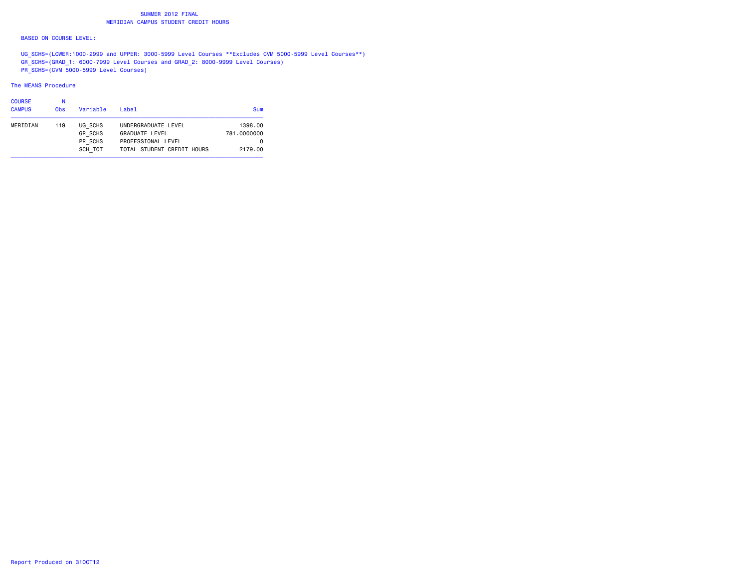### SUMMER 2012 FINAL**MERIDIAN CAMPUS STUDENT CREDIT HOURS**

#### BASED ON COURSE LEVEL:

 UG\_SCHS=(LOWER:1000-2999 and UPPER: 3000-5999 Level Courses \*\*Excludes CVM 5000-5999 Level Courses\*\*) GR\_SCHS=(GRAD\_1: 6000-7999 Level Courses and GRAD\_2: 8000-9999 Level Courses) PR\_SCHS=(CVM 5000-5999 Level Courses)

#### The MEANS Procedure

| <b>COURSE</b> | Ν               |                |                            |             |
|---------------|-----------------|----------------|----------------------------|-------------|
| <b>CAMPUS</b> | 0 <sub>bs</sub> | Variable       | Label                      | <b>Sum</b>  |
| MERIDIAN      | 119             | UG SCHS        | UNDERGRADUATE LEVEL        | 1398.00     |
|               |                 | <b>GR SCHS</b> | <b>GRADUATE LEVEL</b>      | 781,0000000 |
|               |                 | PR SCHS        | PROFESSIONAL LEVEL         | 0           |
|               |                 | SCH TOT        | TOTAL STUDENT CREDIT HOURS | 2179.00     |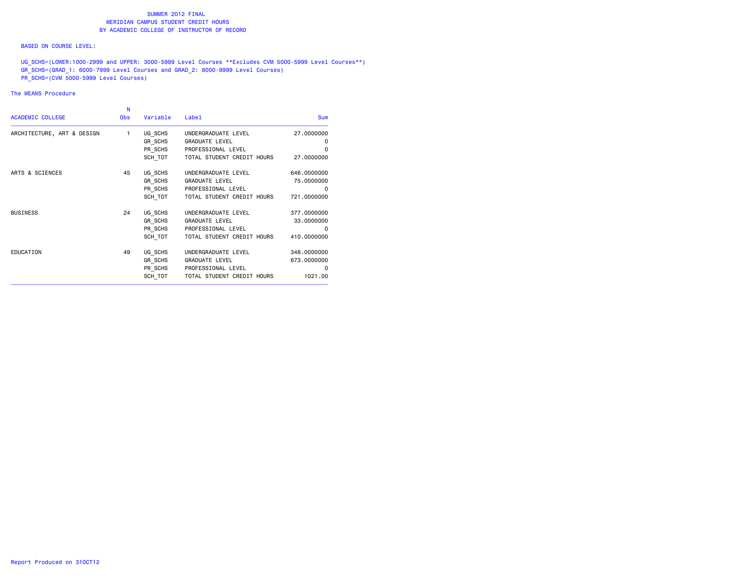#### BASED ON COURSE LEVEL:

UG\_SCHS=(LOWER:1000-2999 and UPPER: 3000-5999 Level Courses \*\*Excludes CVM 5000-5999 Level Courses\*\*) GR\_SCHS=(GRAD\_1: 6000-7999 Level Courses and GRAD\_2: 8000-9999 Level Courses) PR\_SCHS=(CVM 5000-5999 Level Courses)

### The MEANS Procedure

|                            | N          |          |                            |             |
|----------------------------|------------|----------|----------------------------|-------------|
| <b>ACADEMIC COLLEGE</b>    | <b>Obs</b> | Variable | Label                      | <b>Sum</b>  |
| ARCHITECTURE, ART & DESIGN | 1          | UG SCHS  | UNDERGRADUATE LEVEL        | 27.0000000  |
|                            |            | GR SCHS  | <b>GRADUATE LEVEL</b>      | 0           |
|                            |            | PR SCHS  | PROFESSIONAL LEVEL         | 0           |
|                            |            | SCH TOT  | TOTAL STUDENT CREDIT HOURS | 27.0000000  |
| ARTS & SCIENCES            | 45         | UG SCHS  | UNDERGRADUATE LEVEL        | 646.0000000 |
|                            |            | GR_SCHS  | <b>GRADUATE LEVEL</b>      | 75.0000000  |
|                            |            | PR SCHS  | PROFESSIONAL LEVEL         | $\Omega$    |
|                            |            | SCH TOT  | TOTAL STUDENT CREDIT HOURS | 721,0000000 |
| <b>BUSINESS</b>            | 24         | UG_SCHS  | UNDERGRADUATE LEVEL        | 377.0000000 |
|                            |            | GR SCHS  | <b>GRADUATE LEVEL</b>      | 33.0000000  |
|                            |            | PR SCHS  | PROFESSIONAL LEVEL         | 0           |
|                            |            | SCH TOT  | TOTAL STUDENT CREDIT HOURS | 410.0000000 |
| EDUCATION                  | 49         | UG SCHS  | UNDERGRADUATE LEVEL        | 348.0000000 |
|                            |            | GR SCHS  | <b>GRADUATE LEVEL</b>      | 673.0000000 |
|                            |            | PR SCHS  | PROFESSIONAL LEVEL         | 0           |
|                            |            | SCH TOT  | TOTAL STUDENT CREDIT HOURS | 1021.00     |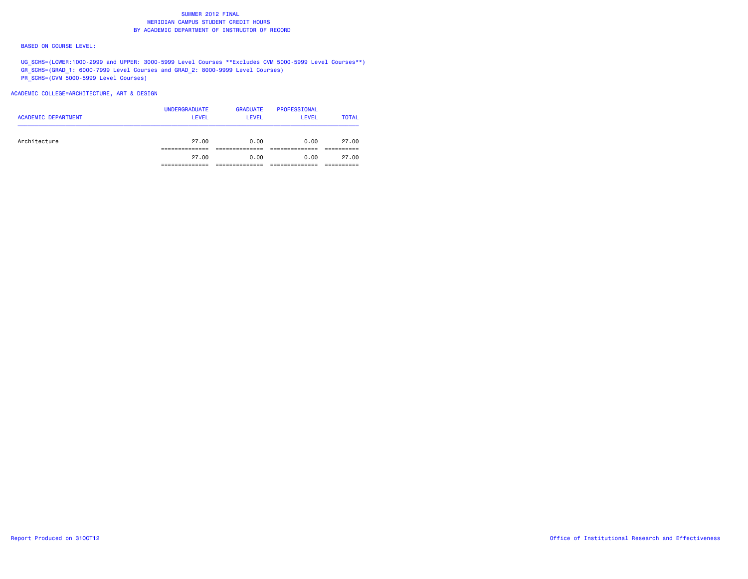#### BASED ON COURSE LEVEL:

UG\_SCHS=(LOWER:1000-2999 and UPPER: 3000-5999 Level Courses \*\*Excludes CVM 5000-5999 Level Courses\*\*) GR\_SCHS=(GRAD\_1: 6000-7999 Level Courses and GRAD\_2: 8000-9999 Level Courses) PR\_SCHS=(CVM 5000-5999 Level Courses)

# ACADEMIC COLLEGE=ARCHITECTURE, ART & DESIGN

| <b>ACADEMIC DEPARTMENT</b> | <b>UNDERGRADUATE</b><br>LEVEL | <b>GRADUATE</b><br>LEVEL | PROFESSIONAL<br><b>LEVEL</b> | <b>TOTAL</b> |
|----------------------------|-------------------------------|--------------------------|------------------------------|--------------|
| Architecture               | 27.00                         | 0.00                     | 0.00                         | 27.00        |
|                            | 27.00                         | 0.00                     | 0.00                         | 27.00        |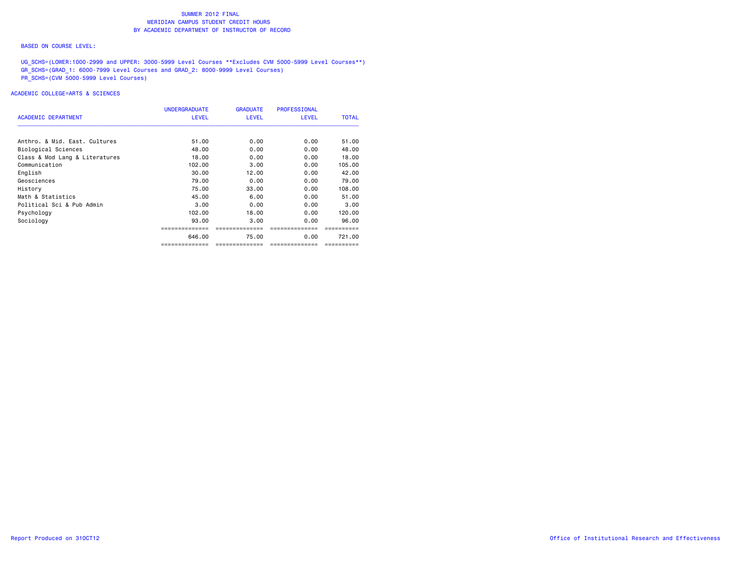#### BASED ON COURSE LEVEL:

UG\_SCHS=(LOWER:1000-2999 and UPPER: 3000-5999 Level Courses \*\*Excludes CVM 5000-5999 Level Courses\*\*) GR\_SCHS=(GRAD\_1: 6000-7999 Level Courses and GRAD\_2: 8000-9999 Level Courses) PR\_SCHS=(CVM 5000-5999 Level Courses)

|                                | <b>UNDERGRADUATE</b> | <b>GRADUATE</b> | <b>PROFESSIONAL</b> |              |
|--------------------------------|----------------------|-----------------|---------------------|--------------|
| <b>ACADEMIC DEPARTMENT</b>     | <b>LEVEL</b>         | <b>LEVEL</b>    | <b>LEVEL</b>        | <b>TOTAL</b> |
| Anthro, & Mid. East. Cultures  | 51.00                | 0.00            | 0.00                | 51.00        |
|                                |                      |                 |                     |              |
| Biological Sciences            | 48.00                | 0.00            | 0.00                | 48.00        |
| Class & Mod Lang & Literatures | 18,00                | 0.00            | 0.00                | 18,00        |
| Communication                  | 102.00               | 3.00            | 0.00                | 105.00       |
| English                        | 30.00                | 12.00           | 0.00                | 42.00        |
| Geosciences                    | 79.00                | 0.00            | 0.00                | 79.00        |
| History                        | 75.00                | 33.00           | 0.00                | 108,00       |
| Math & Statistics              | 45.00                | 6.00            | 0.00                | 51.00        |
| Political Sci & Pub Admin      | 3.00                 | 0.00            | 0.00                | 3.00         |
| Psychology                     | 102.00               | 18,00           | 0.00                | 120.00       |
| Sociology                      | 93.00                | 3.00            | 0.00                | 96.00        |
|                                |                      |                 |                     |              |
|                                | 646.00               | 75.00           | 0.00                | 721.00       |
|                                | ==============       | ============    | --------------      |              |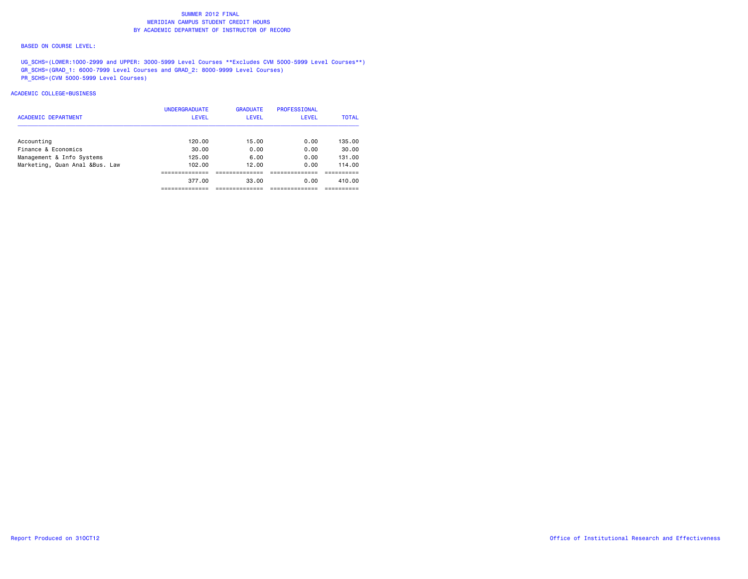#### BASED ON COURSE LEVEL:

UG\_SCHS=(LOWER:1000-2999 and UPPER: 3000-5999 Level Courses \*\*Excludes CVM 5000-5999 Level Courses\*\*) GR\_SCHS=(GRAD\_1: 6000-7999 Level Courses and GRAD\_2: 8000-9999 Level Courses) PR\_SCHS=(CVM 5000-5999 Level Courses)

|                                | <b>UNDERGRADUATE</b> | <b>GRADUATE</b> | <b>PROFESSIONAL</b> |              |
|--------------------------------|----------------------|-----------------|---------------------|--------------|
| <b>ACADEMIC DEPARTMENT</b>     | <b>LEVEL</b>         | <b>LEVEL</b>    | <b>LEVEL</b>        | <b>TOTAL</b> |
| Accounting                     | 120.00               | 15.00           | 0.00                | 135.00       |
| Finance & Economics            | 30.00                | 0.00            | 0.00                | 30.00        |
| Management & Info Systems      | 125.00               | 6.00            | 0.00                | 131.00       |
| Marketing, Quan Anal &Bus. Law | 102.00               | 12.00           | 0.00                | 114.00       |
|                                | ---------            |                 |                     |              |
|                                | 377.00               | 33.00           | 0.00                | 410.00       |
|                                |                      |                 |                     |              |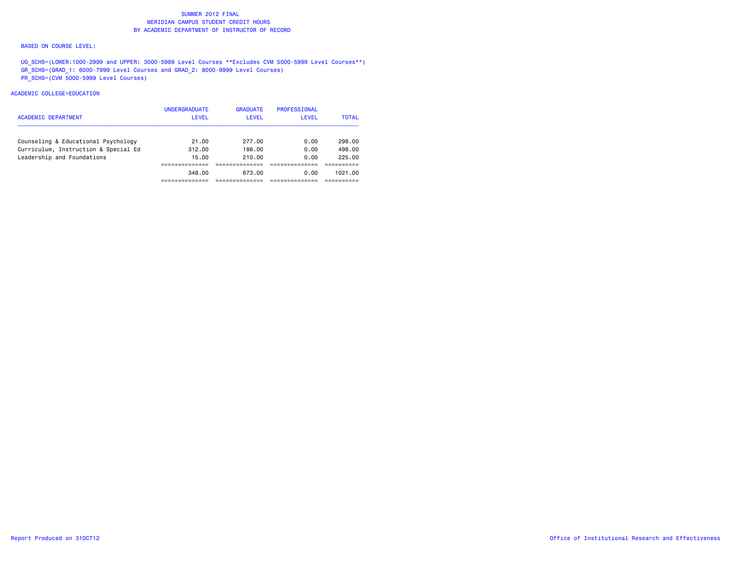#### BASED ON COURSE LEVEL:

UG\_SCHS=(LOWER:1000-2999 and UPPER: 3000-5999 Level Courses \*\*Excludes CVM 5000-5999 Level Courses\*\*) GR\_SCHS=(GRAD\_1: 6000-7999 Level Courses and GRAD\_2: 8000-9999 Level Courses) PR\_SCHS=(CVM 5000-5999 Level Courses)

| <b>ACADEMIC DEPARTMENT</b>           | <b>UNDERGRADUATE</b><br><b>LEVEL</b> | <b>GRADUATE</b><br><b>LEVEL</b> | PROFESSIONAL<br><b>LEVEL</b> | <b>TOTAL</b> |
|--------------------------------------|--------------------------------------|---------------------------------|------------------------------|--------------|
| Counseling & Educational Psychology  | 21.00                                | 277.00                          | 0.00                         | 298.00       |
| Curriculum, Instruction & Special Ed | 312.00                               | 186.00                          | 0.00                         | 498.00       |
| Leadership and Foundations           | 15.00                                | 210.00                          | 0.00                         | 225.00       |
|                                      |                                      |                                 |                              |              |
|                                      | 348.00                               | 673.00                          | 0.00                         | 1021.00      |
|                                      |                                      |                                 |                              |              |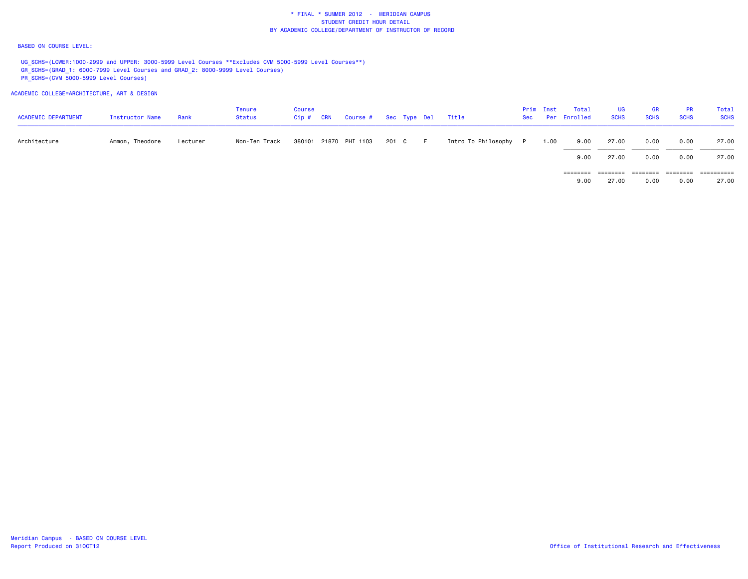#### BASED ON COURSE LEVEL:

UG\_SCHS=(LOWER:1000-2999 and UPPER: 3000-5999 Level Courses \*\*Excludes CVM 5000-5999 Level Courses\*\*) GR\_SCHS=(GRAD\_1: 6000-7999 Level Courses and GRAD\_2: 8000-9999 Level Courses) PR\_SCHS=(CVM 5000-5999 Level Courses)

ACADEMIC COLLEGE=ARCHITECTURE, ART & DESIGN

| <b>ACADEMIC DEPARTMENT</b> | Instructor Name | Rank     | Tenure<br><b>Status</b> | <b>Course</b><br>$Cip$ # | <b>CRN</b> | Course # Sec Type Del Title |       |    |                       | Prim Inst | Total<br>Sec Per Enrolled | UG<br><b>SCHS</b> | <b>GR</b><br><b>SCHS</b> | <b>PR</b><br><b>SCHS</b> | Total<br><b>SCHS</b> |
|----------------------------|-----------------|----------|-------------------------|--------------------------|------------|-----------------------------|-------|----|-----------------------|-----------|---------------------------|-------------------|--------------------------|--------------------------|----------------------|
| Architecture               | Ammon, Theodore | Lecturer | Non-Ten Track           |                          |            | 380101 21870 PHI 1103       | 201 C | F. | Intro To Philosophy P | 1.00      | 9.00                      | 27.00             | 0.00                     | 0.00                     | 27.00                |
|                            |                 |          |                         |                          |            |                             |       |    |                       |           | 9.00                      | 27.00             | 0.00                     | 0.00                     | 27.00                |
|                            |                 |          |                         |                          |            |                             |       |    |                       |           | ========                  | ========          | ========                 | ========                 | ==========           |
|                            |                 |          |                         |                          |            |                             |       |    |                       |           | 9.00                      | 27.00             | 0.00                     | 0.00                     | 27.00                |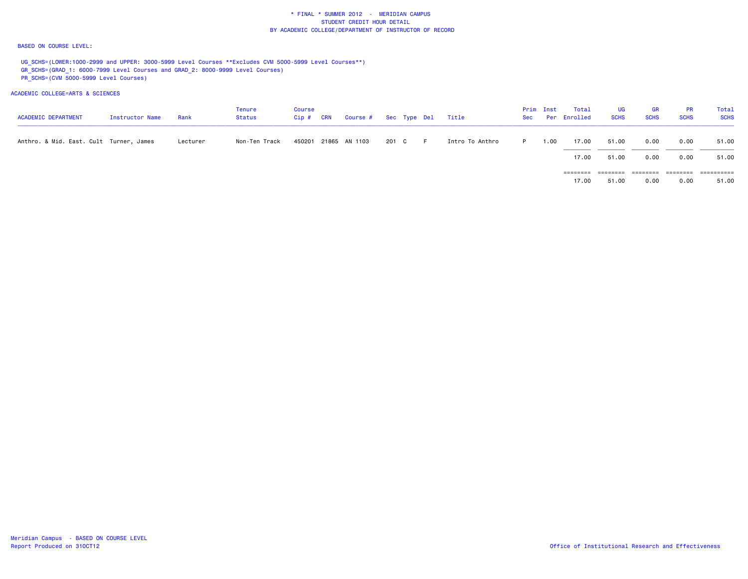#### BASED ON COURSE LEVEL:

UG\_SCHS=(LOWER:1000-2999 and UPPER: 3000-5999 Level Courses \*\*Excludes CVM 5000-5999 Level Courses\*\*) GR\_SCHS=(GRAD\_1: 6000-7999 Level Courses and GRAD\_2: 8000-9999 Level Courses) PR\_SCHS=(CVM 5000-5999 Level Courses)

# ACADEMIC COLLEGE=ARTS & SCIENCES

| <b>ACADEMIC DEPARTMENT</b>              | <b>Instructor Name</b> | Rank     | <b>Tenure</b><br>Status | Course<br>$Cip$ # | <b>CRN</b> | Course # Sec Type Del |       |       | Title           |    | Prim Inst | Total<br>Sec Per Enrolled | UG.<br><b>SCHS</b> | <b>GR</b><br><b>SCHS</b> | <b>PR</b><br><b>SCHS</b> | Total<br><b>SCHS</b> |
|-----------------------------------------|------------------------|----------|-------------------------|-------------------|------------|-----------------------|-------|-------|-----------------|----|-----------|---------------------------|--------------------|--------------------------|--------------------------|----------------------|
| Anthro. & Mid. East. Cult Turner, James |                        | Lecturer | Non-Ten Track           |                   |            | 450201 21865 AN 1103  | 201 C | - F - | Intro To Anthro | P. | 00 ، ا    | 17.00                     | 51.00              | 0.00                     | 0.00                     | 51.00                |
|                                         |                        |          |                         |                   |            |                       |       |       |                 |    |           | 17.00                     | 51.00              | 0.00                     | 0.00                     | 51.00                |
|                                         |                        |          |                         |                   |            |                       |       |       |                 |    |           |                           | ========           | ========                 | ========                 | ==========           |
|                                         |                        |          |                         |                   |            |                       |       |       |                 |    |           | 17.00                     | 51.00              | 0.00                     | 0.00                     | 51.00                |

Meridian Campus - BASED ON COURSE LEVEL<br>Report Produced on 310CT12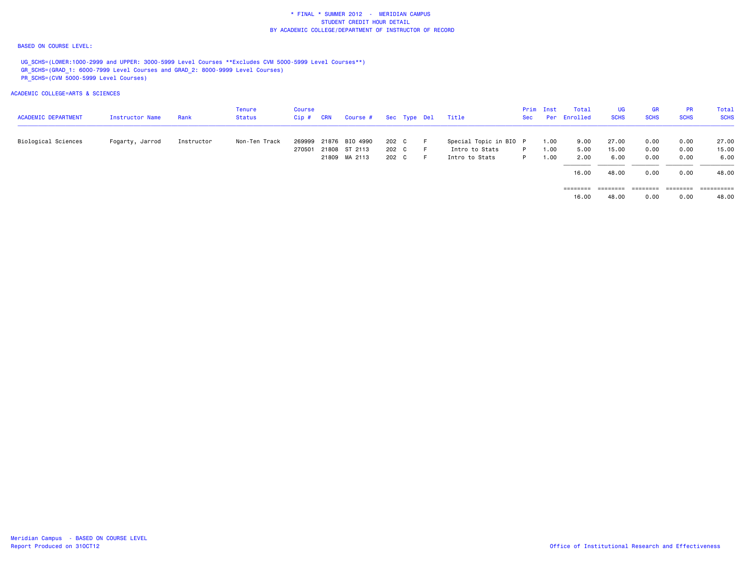#### BASED ON COURSE LEVEL:

UG\_SCHS=(LOWER:1000-2999 and UPPER: 3000-5999 Level Courses \*\*Excludes CVM 5000-5999 Level Courses\*\*) GR\_SCHS=(GRAD\_1: 6000-7999 Level Courses and GRAD\_2: 8000-9999 Level Courses) PR\_SCHS=(CVM 5000-5999 Level Courses)

| <b>ACADEMIC DEPARTMENT</b> | Instructor Name | Rank       | Tenure<br>Status | <b>Course</b><br>Cip# | <b>CRN</b> | Course #             |       | Sec Type Del | Title                  | Sec | Prim Inst | Total<br>Per Enrolled | UG<br><b>SCHS</b> | GR<br><b>SCHS</b> | <b>PR</b><br><b>SCHS</b> | Total<br><b>SCHS</b> |
|----------------------------|-----------------|------------|------------------|-----------------------|------------|----------------------|-------|--------------|------------------------|-----|-----------|-----------------------|-------------------|-------------------|--------------------------|----------------------|
| Biological Sciences        | Fogarty, Jarrod | Instructor | Non-Ten Track    | 269999                |            | 21876 BIO 4990       | 202 C |              | Special Topic in BIO P |     | 1.00      | 9.00                  | 27.00             | 0.00              | 0.00                     | 27.00                |
|                            |                 |            |                  |                       |            | 270501 21808 ST 2113 | 202 C |              | Intro to Stats         | P   | 1.00      | 5.00                  | 15.00             | 0.00              | 0.00                     | 15.00                |
|                            |                 |            |                  |                       |            | 21809 MA 2113        | 202 C |              | Intro to Stats         | P   | 1.00      | 2.00                  | 6.00              | 0.00              | 0.00                     | 6.00                 |
|                            |                 |            |                  |                       |            |                      |       |              |                        |     |           | 16.00                 | 48.00             | 0.00              | 0.00                     | 48.00                |
|                            |                 |            |                  |                       |            |                      |       |              |                        |     |           | ========              | ========          | ========          | ========                 | ========             |
|                            |                 |            |                  |                       |            |                      |       |              |                        |     |           | 16.00                 | 48.00             | 0.00              | 0.00                     | 48.00                |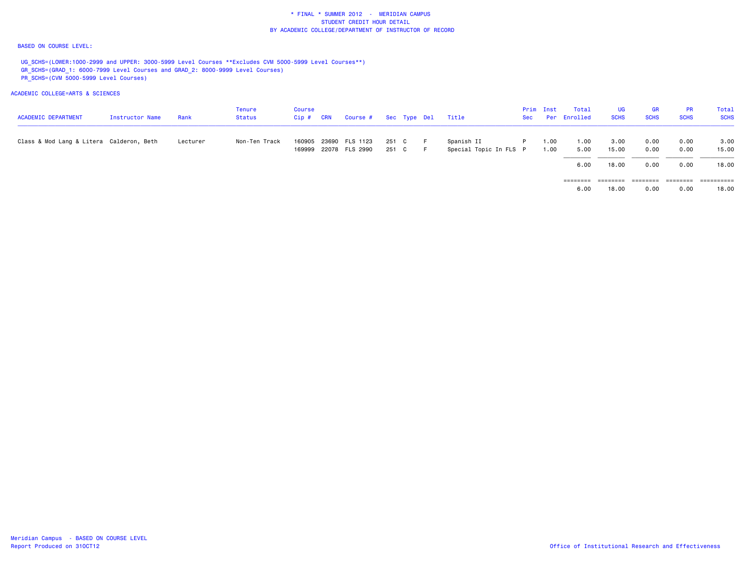#### BASED ON COURSE LEVEL:

UG\_SCHS=(LOWER:1000-2999 and UPPER: 3000-5999 Level Courses \*\*Excludes CVM 5000-5999 Level Courses\*\*) GR\_SCHS=(GRAD\_1: 6000-7999 Level Courses and GRAD\_2: 8000-9999 Level Courses) PR\_SCHS=(CVM 5000-5999 Level Courses)

| <b>ACADEMIC DEPARTMENT</b>               | Instructor Name | Rank     | Tenure<br>Status | Course<br>$Cip$ # | <b>CRN</b> | Course #                          |                | Sec Type Del | Title                                | Sec | Prim Inst    | Total<br>Per Enrolled | UG<br><b>SCHS</b> | <b>GR</b><br><b>SCHS</b> | <b>PR</b><br><b>SCHS</b>                                                        | Total<br><b>SCHS</b> |
|------------------------------------------|-----------------|----------|------------------|-------------------|------------|-----------------------------------|----------------|--------------|--------------------------------------|-----|--------------|-----------------------|-------------------|--------------------------|---------------------------------------------------------------------------------|----------------------|
| Class & Mod Lang & Litera Calderon, Beth |                 | Lecturer | Non-Ten Track    | 160905            | 23690      | FLS 1123<br>169999 22078 FLS 2990 | 251 C<br>251 C | -F.<br>E.    | Spanish II<br>Special Topic In FLS P | P.  | 1.00<br>1.00 | 1.00<br>5.00          | 3.00<br>15.00     | 0.00<br>0.00             | 0.00<br>0.00                                                                    | 3.00<br>15.00        |
|                                          |                 |          |                  |                   |            |                                   |                |              |                                      |     |              | 6.00                  | 18.00             | 0.00                     | 0.00                                                                            | 18.00                |
|                                          |                 |          |                  |                   |            |                                   |                |              |                                      |     |              | ========<br>6.00      | ========<br>18.00 | ========<br>0.00         | $\qquad \qquad \equiv \equiv \equiv \equiv \equiv \equiv \equiv \equiv$<br>0.00 | 18.00                |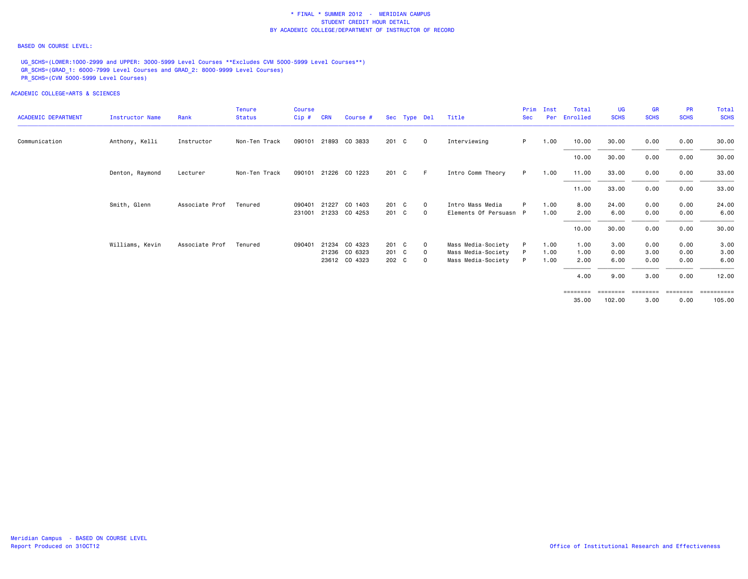#### BASED ON COURSE LEVEL:

UG\_SCHS=(LOWER:1000-2999 and UPPER: 3000-5999 Level Courses \*\*Excludes CVM 5000-5999 Level Courses\*\*) GR\_SCHS=(GRAD\_1: 6000-7999 Level Courses and GRAD\_2: 8000-9999 Level Courses) PR\_SCHS=(CVM 5000-5999 Level Courses)

| <b>ACADEMIC DEPARTMENT</b> | <b>Instructor Name</b> | Rank           | <b>Tenure</b><br><b>Status</b> | <b>Course</b><br>Cip# | <b>CRN</b> | Course #             |       | Sec Type Del |              | Title                  | Prim<br><b>Sec</b> | Inst<br>Per | Total<br>Enrolled          | UG<br><b>SCHS</b> | <b>GR</b><br><b>SCHS</b> | <b>PR</b><br><b>SCHS</b> | Total<br><b>SCHS</b>              |
|----------------------------|------------------------|----------------|--------------------------------|-----------------------|------------|----------------------|-------|--------------|--------------|------------------------|--------------------|-------------|----------------------------|-------------------|--------------------------|--------------------------|-----------------------------------|
| Communication              | Anthony, Kelli         | Instructor     | Non-Ten Track                  | 090101                |            | 21893 CO 3833        | 201 C |              | $\mathbf{0}$ | Interviewing           | P.                 | 1.00        | 10.00                      | 30.00             | 0.00                     | 0.00                     | 30.00                             |
|                            |                        |                |                                |                       |            |                      |       |              |              |                        |                    |             | 10.00                      | 30.00             | 0.00                     | 0.00                     | 30.00                             |
|                            | Denton, Raymond        | Lecturer       | Non-Ten Track                  |                       |            | 090101 21226 CO 1223 | 201 C |              | - F          | Intro Comm Theory      | P.                 | 1.00        | 11.00                      | 33.00             | 0.00                     | 0.00                     | 33.00                             |
|                            |                        |                |                                |                       |            |                      |       |              |              |                        |                    |             | 11.00                      | 33.00             | 0.00                     | 0.00                     | 33.00                             |
|                            | Smith, Glenn           | Associate Prof | Tenured                        | 090401                | 21227      | CO 1403              | 201 C |              | $\mathbf{0}$ | Intro Mass Media       | P                  | 1.00        | 8.00                       | 24.00             | 0.00                     | 0.00                     | 24.00                             |
|                            |                        |                |                                | 231001                |            | 21233 CO 4253        | 201 C |              | $\mathbf{O}$ | Elements Of Persuasn P |                    | 1.00        | 2.00                       | 6.00              | 0.00                     | 0.00                     | 6.00                              |
|                            |                        |                |                                |                       |            |                      |       |              |              |                        |                    |             | 10.00                      | 30.00             | 0.00                     | 0.00                     | 30.00                             |
|                            | Williams, Kevin        | Associate Prof | Tenured                        | 090401                | 21234      | CO 4323              | 201 C |              | $\Omega$     | Mass Media-Society     | P                  | 1.00        | 1.00                       | 3.00              | 0.00                     | 0.00                     | 3.00                              |
|                            |                        |                |                                |                       |            | 21236 CO 6323        | 201 C |              | $\mathbf 0$  | Mass Media-Society     |                    | 1.00        | 1.00                       | 0.00              | 3.00                     | 0.00                     | 3.00                              |
|                            |                        |                |                                |                       |            | 23612 CO 4323        | 202 C |              | $\Omega$     | Mass Media-Society     | P                  | 1.00        | 2.00                       | 6.00              | 0.00                     | 0.00                     | 6.00                              |
|                            |                        |                |                                |                       |            |                      |       |              |              |                        |                    |             | 4.00                       | 9.00              | 3.00                     | 0.00                     | 12.00                             |
|                            |                        |                |                                |                       |            |                      |       |              |              |                        |                    |             | $=$ = = = = = = =<br>35.00 | 102.00            | ========<br>3.00         | ========<br>0.00         | $=$ = = = = = = = = = =<br>105.00 |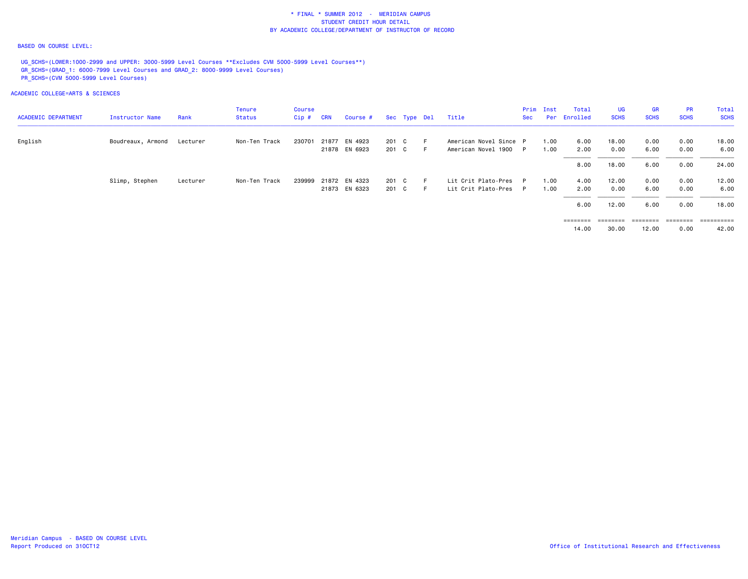#### BASED ON COURSE LEVEL:

UG\_SCHS=(LOWER:1000-2999 and UPPER: 3000-5999 Level Courses \*\*Excludes CVM 5000-5999 Level Courses\*\*) GR\_SCHS=(GRAD\_1: 6000-7999 Level Courses and GRAD\_2: 8000-9999 Level Courses) PR\_SCHS=(CVM 5000-5999 Level Courses)

|                            |                   |          | Tenure        | <b>Course</b> |            |               |       |              |                        |            | Prim Inst | Total        | <b>UG</b>   | <b>GR</b>   | <b>PR</b>   | Total       |
|----------------------------|-------------------|----------|---------------|---------------|------------|---------------|-------|--------------|------------------------|------------|-----------|--------------|-------------|-------------|-------------|-------------|
| <b>ACADEMIC DEPARTMENT</b> | Instructor Name   | Rank     | Status        | $Cip$ #       | <b>CRN</b> | Course #      |       | Sec Type Del | Title                  | <b>Sec</b> |           | Per Enrolled | <b>SCHS</b> | <b>SCHS</b> | <b>SCHS</b> | <b>SCHS</b> |
| English                    | Boudreaux, Armond | Lecturer | Non-Ten Track | 230701        |            | 21877 EN 4923 | 201 C |              | American Novel Since P |            | 1.00      | 6.00         | 18.00       | 0.00        | 0.00        | 18.00       |
|                            |                   |          |               |               |            | 21878 EN 6923 | 201 C | -F           | American Novel 1900    | P          | 1.00      | 2.00         | 0.00        | 6.00        | 0.00        | 6.00        |
|                            |                   |          |               |               |            |               |       |              |                        |            | 8.00      | 18.00        | 6.00        | 0.00        | 24.00       |             |
|                            | Slimp, Stephen    | Lecturer | Non-Ten Track | 239999        |            | 21872 EN 4323 | 201 C | -F           | Lit Crit Plato-Pres    | P.         | 1.00      | 4.00         | 12.00       | 0.00        | 0.00        | 12.00       |
|                            |                   |          |               |               |            | 21873 EN 6323 | 201 C | - F          | Lit Crit Plato-Pres    | P          | 1.00      | 2.00         | 0.00        | 6.00        | 0.00        | 6.00        |
|                            |                   |          |               |               |            |               |       |              |                        |            |           | 6.00         | 12.00       | 6.00        | 0.00        | 18.00       |
|                            |                   |          |               |               |            |               |       |              |                        |            |           |              | ========    | ========    | ---------   |             |
|                            |                   |          |               |               |            |               |       |              |                        |            |           | 14.00        | 30.00       | 12.00       | 0.00        | 42.00       |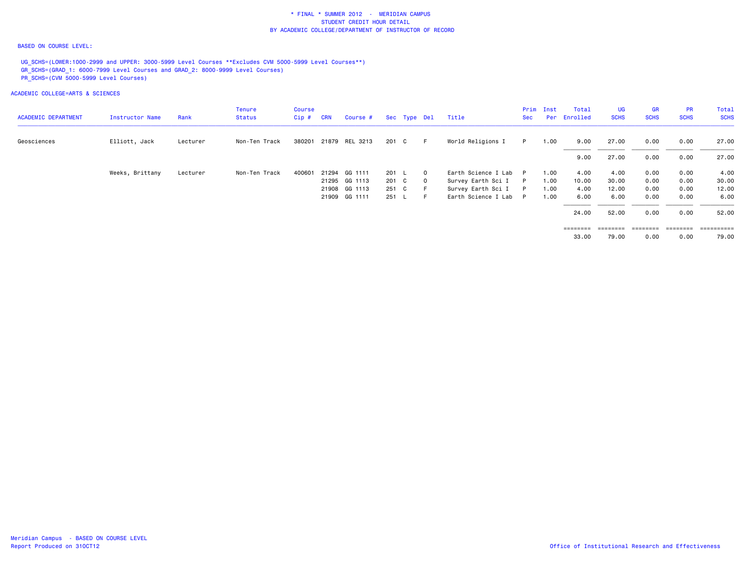#### BASED ON COURSE LEVEL:

UG\_SCHS=(LOWER:1000-2999 and UPPER: 3000-5999 Level Courses \*\*Excludes CVM 5000-5999 Level Courses\*\*) GR\_SCHS=(GRAD\_1: 6000-7999 Level Courses and GRAD\_2: 8000-9999 Level Courses) PR\_SCHS=(CVM 5000-5999 Level Courses)

|                            |                 |          | <b>Tenure</b> | Course |            |                |       |              |                       | Prim | Inst | Total        | <b>UG</b>   | <b>GR</b>   | <b>PR</b>   | Total       |
|----------------------------|-----------------|----------|---------------|--------|------------|----------------|-------|--------------|-----------------------|------|------|--------------|-------------|-------------|-------------|-------------|
| <b>ACADEMIC DEPARTMENT</b> | Instructor Name | Rank     | <b>Status</b> | Cip#   | <b>CRN</b> | Course #       |       | Sec Type Del | Title                 | Sec  |      | Per Enrolled | <b>SCHS</b> | <b>SCHS</b> | <b>SCHS</b> | <b>SCHS</b> |
| Geosciences                | Elliott, Jack   | Lecturer | Non-Ten Track | 380201 |            | 21879 REL 3213 | 201 C | $F =$        | World Religions I     | P    | 1.00 | 9.00         | 27.00       | 0.00        | 0.00        | 27.00       |
|                            |                 |          |               |        |            |                |       |              |                       |      |      | 9.00         | 27.00       | 0.00        | 0.00        | 27.00       |
|                            | Weeks, Brittany | Lecturer | Non-Ten Track | 400601 |            | 21294 GG 1111  | 201 L | $\mathbf{0}$ | Earth Science I Lab P |      | 1.00 | 4.00         | 4.00        | 0.00        | 0.00        | 4.00        |
|                            |                 |          |               |        |            | 21295 GG 1113  | 201 C | $\mathbf{0}$ | Survey Earth Sci I P  |      | 1.00 | 10.00        | 30.00       | 0.00        | 0.00        | 30.00       |
|                            |                 |          |               |        |            | 21908 GG 1113  | 251 C |              | Survey Earth Sci I    | P    | 1.00 | 4.00         | 12.00       | 0.00        | 0.00        | 12.00       |
|                            |                 |          |               |        |            | 21909 GG 1111  | 251 L | E.           | Earth Science I Lab P |      | 1.00 | 6.00         | 6.00        | 0.00        | 0.00        | 6.00        |
|                            |                 |          |               |        |            |                |       |              |                       |      |      | 24.00        | 52.00       | 0.00        | 0.00        | 52.00       |
|                            |                 |          |               |        |            |                |       |              |                       |      |      | ========     | ========    | ========    | ========    | ennersen    |
|                            |                 |          |               |        |            |                |       |              |                       |      |      | 33.00        | 79.00       | 0.00        | 0.00        | 79.00       |
|                            |                 |          |               |        |            |                |       |              |                       |      |      |              |             |             |             |             |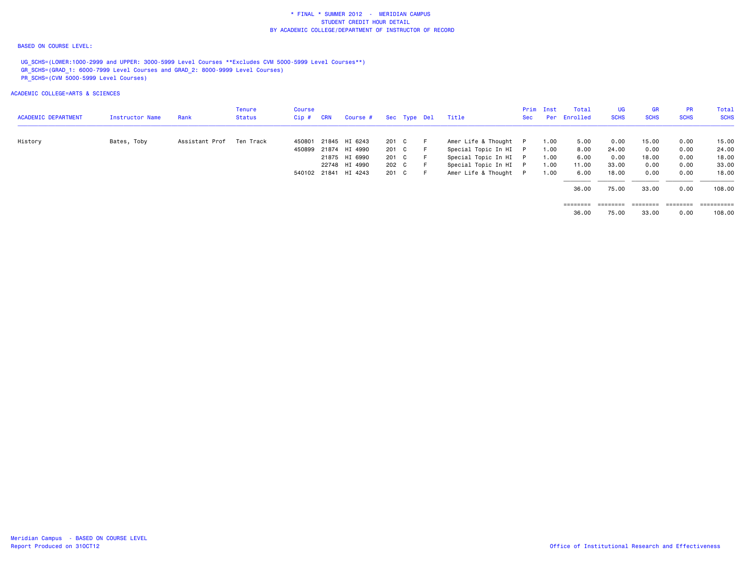#### BASED ON COURSE LEVEL:

UG\_SCHS=(LOWER:1000-2999 and UPPER: 3000-5999 Level Courses \*\*Excludes CVM 5000-5999 Level Courses\*\*) GR\_SCHS=(GRAD\_1: 6000-7999 Level Courses and GRAD\_2: 8000-9999 Level Courses) PR\_SCHS=(CVM 5000-5999 Level Courses)

| <b>ACADEMIC DEPARTMENT</b> | <b>Instructor Name</b> | Rank           | Tenure<br>Status | Course<br>$Cip$ # | <b>CRN</b> | Course #             |       | Sec Type Del | Title                 | Sec | Prim Inst | Total<br>Per Enrolled | <b>UG</b><br><b>SCHS</b> | GR<br><b>SCHS</b> | <b>PR</b><br><b>SCHS</b> | Total<br><b>SCHS</b> |
|----------------------------|------------------------|----------------|------------------|-------------------|------------|----------------------|-------|--------------|-----------------------|-----|-----------|-----------------------|--------------------------|-------------------|--------------------------|----------------------|
| History                    | Bates, Toby            | Assistant Prof | Ten Track        |                   |            | 450801 21845 HI 6243 | 201 C | - F          | Amer Life & Thought P |     | 1.00      | 5.00                  | 0.00                     | 15.00             | 0.00                     | 15.00                |
|                            |                        |                |                  |                   |            | 450899 21874 HI 4990 | 201 C |              | Special Topic In HI P |     | 1.00      | 8.00                  | 24.00                    | 0.00              | 0.00                     | 24.00                |
|                            |                        |                |                  |                   |            | 21875 HI 6990        | 201 C |              | Special Topic In HI P |     | 1.00      | 6.00                  | 0.00                     | 18.00             | 0.00                     | 18.00                |
|                            |                        |                |                  |                   |            | 22748 HI 4990        | 202 C | - F          | Special Topic In HI P |     | 1.00      | 11.00                 | 33.00                    | 0.00              | 0.00                     | 33.00                |
|                            |                        |                |                  |                   |            | 540102 21841 HI 4243 | 201 C |              | Amer Life & Thought P |     | 1.00      | 6.00                  | 18.00                    | 0.00              | 0.00                     | 18.00                |
|                            |                        |                |                  |                   |            |                      |       |              |                       |     |           | 36.00                 | 75.00                    | 33.00             | 0.00                     | 108.00               |
|                            |                        |                |                  |                   |            |                      |       |              |                       |     |           | ========              | ========                 | ========          | ========                 | ==========           |
|                            |                        |                |                  |                   |            |                      |       |              |                       |     |           | 36.00                 | 75.00                    | 33.00             | 0.00                     | 108.00               |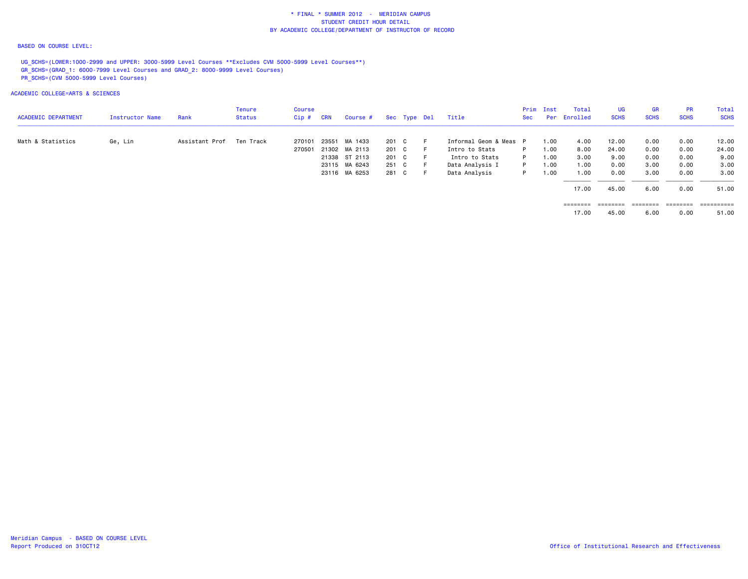#### BASED ON COURSE LEVEL:

UG\_SCHS=(LOWER:1000-2999 and UPPER: 3000-5999 Level Courses \*\*Excludes CVM 5000-5999 Level Courses\*\*) GR\_SCHS=(GRAD\_1: 6000-7999 Level Courses and GRAD\_2: 8000-9999 Level Courses) PR\_SCHS=(CVM 5000-5999 Level Courses)

|                            |                 |                | Tenure    | Course |            |               |       |              |                        |     | <b>Prim Inst</b> | Total                                                                   | <b>UG</b>         | <b>GR</b>         | <b>PR</b>   | Total       |
|----------------------------|-----------------|----------------|-----------|--------|------------|---------------|-------|--------------|------------------------|-----|------------------|-------------------------------------------------------------------------|-------------------|-------------------|-------------|-------------|
| <b>ACADEMIC DEPARTMENT</b> | Instructor Name | Rank           | Status    | Cip #  | <b>CRN</b> | Course #      |       | Sec Type Del | Title                  | Sec |                  | Per Enrolled                                                            | <b>SCHS</b>       | <b>SCHS</b>       | <b>SCHS</b> | <b>SCHS</b> |
| Math & Statistics          | Ge, Lin         | Assistant Prof | Ten Track | 270101 |            | 23551 MA 1433 | 201 C |              | Informal Geom & Meas P |     | 1.00             | 4.00                                                                    | 12.00             | 0.00              | 0.00        | 12.00       |
|                            |                 |                |           | 270501 |            | 21302 MA 2113 | 201 C |              | Intro to Stats         | P.  | 1.00             | 8.00                                                                    | 24.00             | 0.00              | 0.00        | 24.00       |
|                            |                 |                |           |        |            | 21338 ST 2113 | 201 C |              | Intro to Stats         | P   | 1.00             | 3.00                                                                    | 9.00              | 0.00              | 0.00        | 9.00        |
|                            |                 |                |           |        |            | 23115 MA 6243 | 251 C |              | Data Analysis I        | P   | 1.00             | 1.00                                                                    | 0.00              | 3.00              | 0.00        | 3.00        |
|                            |                 |                |           |        |            | 23116 MA 6253 | 281 C |              | Data Analysis          | P.  | 1.00             | 1.00                                                                    | 0.00              | 3.00              | 0.00        | 3.00        |
|                            |                 |                |           |        |            |               |       |              |                        |     |                  | 17.00                                                                   | 45.00             | 6.00              | 0.00        | 51.00       |
|                            |                 |                |           |        |            |               |       |              |                        |     |                  | $\qquad \qquad \equiv \equiv \equiv \equiv \equiv \equiv \equiv \equiv$ | $=$ = = = = = = = | $=$ = = = = = = = | ========    | ========    |
|                            |                 |                |           |        |            |               |       |              |                        |     |                  | 17.00                                                                   | 45.00             | 6.00              | 0.00        | 51.00       |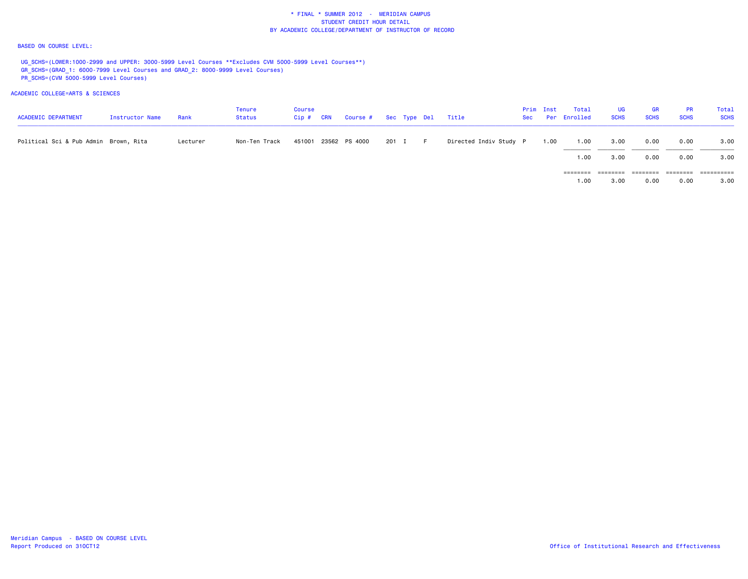#### BASED ON COURSE LEVEL:

UG\_SCHS=(LOWER:1000-2999 and UPPER: 3000-5999 Level Courses \*\*Excludes CVM 5000-5999 Level Courses\*\*) GR\_SCHS=(GRAD\_1: 6000-7999 Level Courses and GRAD\_2: 8000-9999 Level Courses) PR\_SCHS=(CVM 5000-5999 Level Courses)

| <b>ACADEMIC DEPARTMENT</b>            | Instructor Name | Rank     | Tenure<br>Status | Course<br>Cip # | <b>CRN</b> | Course # Sec Type Del Title |         |                        | Prim Inst | Total<br>Sec Per Enrolled | <b>UG</b><br><b>SCHS</b> | <b>GR</b><br><b>SCHS</b> | <b>PR</b><br><b>SCHS</b> | Total<br><b>SCHS</b> |
|---------------------------------------|-----------------|----------|------------------|-----------------|------------|-----------------------------|---------|------------------------|-----------|---------------------------|--------------------------|--------------------------|--------------------------|----------------------|
| Political Sci & Pub Admin Brown, Rita |                 | Lecturer | Non-Ten Track    |                 |            | 451001 23562 PS 4000        | 201 I F | Directed Indiv Study P | 1.00      | 1.00                      | 3.00                     | 0.00                     | 0.00                     | 3.00                 |
|                                       |                 |          |                  |                 |            |                             |         |                        |           | 1.00                      | 3.00                     | 0.00                     | 0.00                     | 3.00                 |
|                                       |                 |          |                  |                 |            |                             |         |                        |           | ========                  |                          |                          |                          | ==========           |
|                                       |                 |          |                  |                 |            |                             |         |                        |           | 1.00                      | 3,00                     | 0.00                     | 0.00                     | 3.00                 |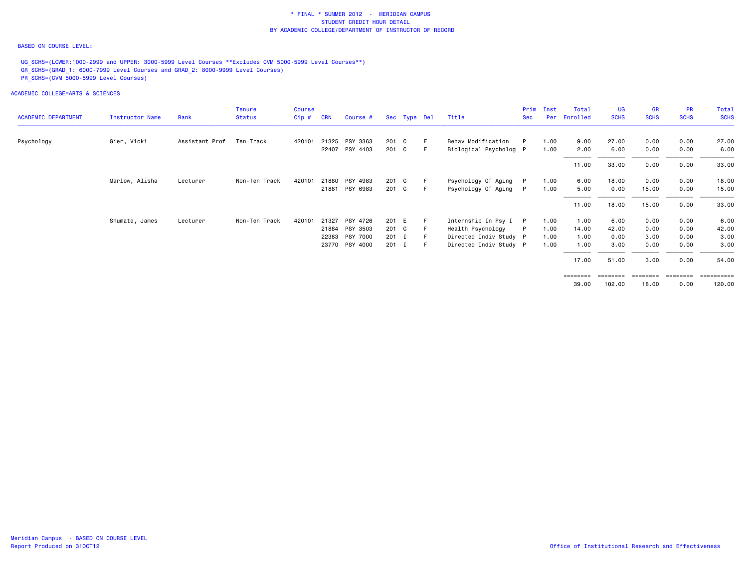#### BASED ON COURSE LEVEL:

UG\_SCHS=(LOWER:1000-2999 and UPPER: 3000-5999 Level Courses \*\*Excludes CVM 5000-5999 Level Courses\*\*) GR\_SCHS=(GRAD\_1: 6000-7999 Level Courses and GRAD\_2: 8000-9999 Level Courses) PR\_SCHS=(CVM 5000-5999 Level Courses)

| <b>ACADEMIC DEPARTMENT</b> | Instructor Name | Rank           | <b>Tenure</b><br><b>Status</b> | <b>Course</b><br>$Cip$ # | <b>CRN</b> | Course #       |         | Sec Type Del |      | Title                  | Prim<br><b>Sec</b> | Inst<br>Per | Total<br>Enrolled | UG<br><b>SCHS</b> | <b>GR</b><br><b>SCHS</b> | <b>PR</b><br><b>SCHS</b> | Total<br><b>SCHS</b> |
|----------------------------|-----------------|----------------|--------------------------------|--------------------------|------------|----------------|---------|--------------|------|------------------------|--------------------|-------------|-------------------|-------------------|--------------------------|--------------------------|----------------------|
|                            |                 |                |                                |                          |            |                |         |              |      |                        |                    |             |                   |                   |                          |                          |                      |
| Psychology                 | Gier, Vicki     | Assistant Prof | Ten Track                      | 420101                   |            | 21325 PSY 3363 | 201 C   |              | - F  | Behav Modification     | P                  | 1.00        | 9.00              | 27.00             | 0.00                     | 0.00                     | 27.00                |
|                            |                 |                |                                |                          |            | 22407 PSY 4403 | 201 C   |              | - F  | Biological Psycholog P |                    | 1.00        | 2.00              | 6.00              | 0.00                     | 0.00                     | 6.00                 |
|                            |                 |                |                                |                          |            |                |         |              |      |                        |                    |             | 11.00             | 33.00             | 0.00                     | 0.00                     | 33.00                |
|                            | Marlow, Alisha  | Lecturer       | Non-Ten Track                  | 420101                   |            | 21880 PSY 4983 | 201 C   |              | - F  | Psychology Of Aging    |                    | 1.00        | 6.00              | 18.00             | 0.00                     | 0.00                     | 18.00                |
|                            |                 |                |                                |                          |            | 21881 PSY 6983 | 201 C   |              | -F.  | Psychology Of Aging    |                    | 1.00        | 5.00              | 0.00              | 15.00                    | 0.00                     | 15.00                |
|                            |                 |                |                                |                          |            |                |         |              |      |                        |                    |             | 11.00             | 18.00             | 15.00                    | 0.00                     | 33.00                |
|                            | Shumate, James  | Lecturer       | Non-Ten Track                  | 420101                   | 21327      | PSY 4726       | 201 E   |              | -F   | Internship In Psy I    | P                  | 1.00        | 1.00              | 6.00              | 0.00                     | 0.00                     | 6.00                 |
|                            |                 |                |                                |                          |            | 21884 PSY 3503 | 201 C   |              |      | Health Psychology      |                    | 1.00        | 14.00             | 42.00             | 0.00                     | 0.00                     | 42.00                |
|                            |                 |                |                                |                          |            | 22383 PSY 7000 | 201 I   |              |      | Directed Indiv Study P |                    | 1.00        | 1.00              | 0.00              | 3.00                     | 0.00                     | 3.00                 |
|                            |                 |                |                                |                          |            | 23770 PSY 4000 | $201$ I |              | $-F$ | Directed Indiv Study P |                    | 1.00        | 1.00              | 3.00              | 0.00                     | 0.00                     | 3.00                 |
|                            |                 |                |                                |                          |            |                |         |              |      |                        |                    |             | 17.00             | 51.00             | 3.00                     | 0.00                     | 54.00                |
|                            |                 |                |                                |                          |            |                |         |              |      |                        |                    |             | ========          |                   |                          |                          | ==========           |
|                            |                 |                |                                |                          |            |                |         |              |      |                        |                    |             | 39.00             | 102.00            | 18.00                    | 0.00                     | 120.00               |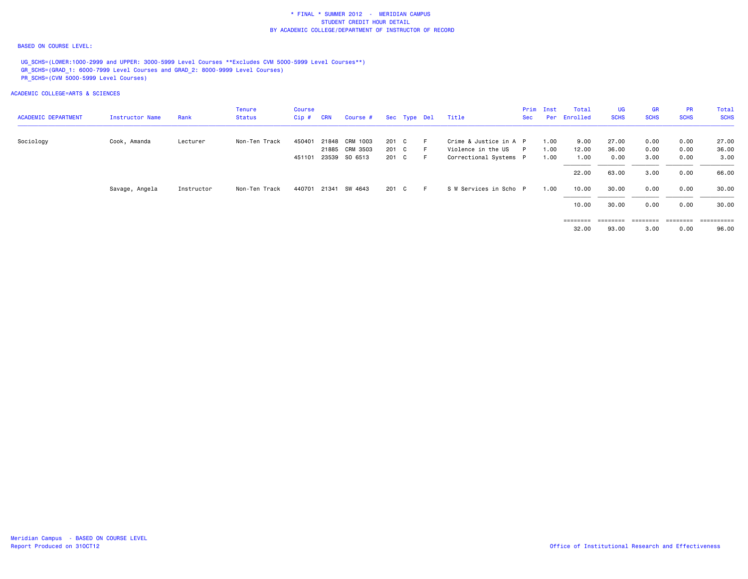#### BASED ON COURSE LEVEL:

UG\_SCHS=(LOWER:1000-2999 and UPPER: 3000-5999 Level Courses \*\*Excludes CVM 5000-5999 Level Courses\*\*) GR\_SCHS=(GRAD\_1: 6000-7999 Level Courses and GRAD\_2: 8000-9999 Level Courses) PR\_SCHS=(CVM 5000-5999 Level Courses)

|                            |                 |            | <b>Tenure</b> | <b>Course</b> |            |                |       |              |   |                        |     | Prim Inst | Total             | UG                | <b>GR</b>   | <b>PR</b>         | Total       |
|----------------------------|-----------------|------------|---------------|---------------|------------|----------------|-------|--------------|---|------------------------|-----|-----------|-------------------|-------------------|-------------|-------------------|-------------|
| <b>ACADEMIC DEPARTMENT</b> | Instructor Name | Rank       | Status        | $Cip$ #       | <b>CRN</b> | Course #       |       | Sec Type Del |   | Title                  | Sec |           | Per Enrolled      | <b>SCHS</b>       | <b>SCHS</b> | <b>SCHS</b>       | <b>SCHS</b> |
| Sociology                  | Cook, Amanda    | Lecturer   | Non-Ten Track | 450401        |            | 21848 CRM 1003 | 201 C |              | F | Crime & Justice in A P |     | 1.00      | 9.00              | 27.00             | 0.00        | 0.00              | 27.00       |
|                            |                 |            |               |               |            | 21885 CRM 3503 | 201 C |              |   | Violence in the US P   |     | 1.00      | 12.00             | 36.00             | 0.00        | 0.00              | 36.00       |
|                            |                 |            |               | 451101        |            | 23539 SO 6513  | 201 C |              |   | Correctional Systems P |     | 1.00      | 1.00              | 0.00              | 3.00        | 0.00              | 3.00        |
|                            |                 |            |               |               |            |                |       |              |   |                        |     |           | 22.00             | 63.00             | 3.00        | 0.00              | 66.00       |
|                            | Savage, Angela  | Instructor | Non-Ten Track | 440701        | 21341      | SW 4643        | 201 C |              |   | S W Services in Scho P |     | 1.00      | 10.00             | 30.00             | 0.00        | 0.00              | 30.00       |
|                            |                 |            |               |               |            |                |       |              |   |                        |     |           | 10.00             | 30.00             | 0.00        | 0.00              | 30.00       |
|                            |                 |            |               |               |            |                |       |              |   |                        |     |           | $=$ = = = = = = = | $=$ = = = = = = = |             | $=$ = = = = = = = | ==========  |
|                            |                 |            |               |               |            |                |       |              |   |                        |     |           | 32.00             | 93.00             | 3.00        | 0.00              | 96.00       |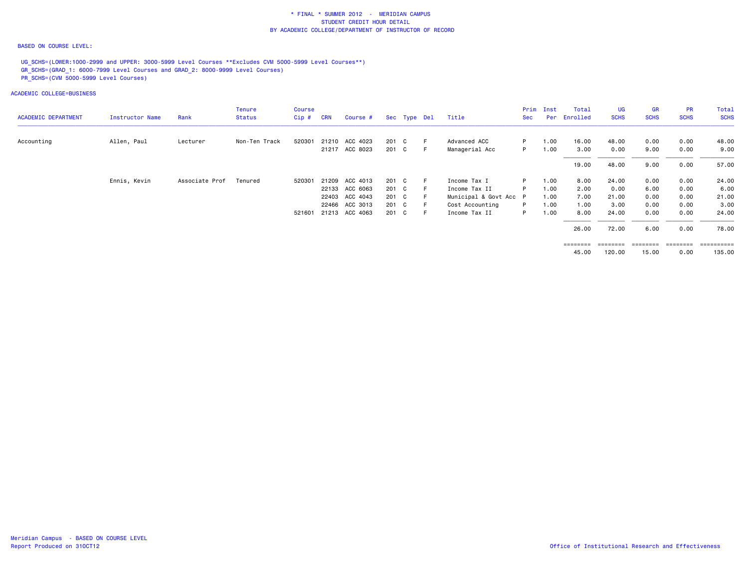#### BASED ON COURSE LEVEL:

UG SCHS=(LOWER:1000-2999 and UPPER: 3000-5999 Level Courses \*\*Excludes CVM 5000-5999 Level Courses\*\*) GR\_SCHS=(GRAD\_1: 6000-7999 Level Courses and GRAD\_2: 8000-9999 Level Courses) PR\_SCHS=(CVM 5000-5999 Level Courses)

ACADEMIC COLLEGE=BUSINESS

|                            |                        |                | <b>Tenure</b> | Course |            |                       |       |              |     |                        | Prim | Inst | Total        | UG          | GR          | <b>PR</b>   | Total        |
|----------------------------|------------------------|----------------|---------------|--------|------------|-----------------------|-------|--------------|-----|------------------------|------|------|--------------|-------------|-------------|-------------|--------------|
| <b>ACADEMIC DEPARTMENT</b> | <b>Instructor Name</b> | Rank           | <b>Status</b> | Cip#   | <b>CRN</b> | Course #              |       | Sec Type Del |     | Title                  | Sec  |      | Per Enrolled | <b>SCHS</b> | <b>SCHS</b> | <b>SCHS</b> | <b>SCHS</b>  |
| Accounting                 | Allen, Paul            | Lecturer       | Non-Ten Track | 520301 |            | 21210 ACC 4023        | 201 C |              | - F | Advanced ACC           | P.   | 1.00 | 16.00        | 48.00       | 0.00        | 0.00        | 48.00        |
|                            |                        |                |               |        |            | 21217 ACC 8023        | 201 C |              | F   | Managerial Acc         | P.   | 1.00 | 3.00         | 0.00        | 9.00        | 0.00        | 9.00         |
|                            |                        |                |               |        |            |                       |       |              |     |                        |      |      |              |             |             |             |              |
|                            |                        |                |               |        |            |                       |       |              |     |                        |      |      | 19.00        | 48.00       | 9.00        | 0.00        | 57.00        |
|                            | Ennis, Kevin           | Associate Prof | Tenured       | 520301 |            | 21209 ACC 4013        | 201 C |              |     | Income Tax I           | P.   | 1.00 | 8.00         | 24.00       | 0.00        | 0.00        | 24.00        |
|                            |                        |                |               |        |            | 22133 ACC 6063        | 201 C |              |     | Income Tax II          | P.   | 1.00 | 2.00         | 0.00        | 6.00        | 0.00        | 6.00         |
|                            |                        |                |               |        |            | 22403 ACC 4043        | 201 C |              |     | Municipal & Govt Acc P |      | 1.00 | 7.00         | 21.00       | 0.00        | 0.00        | 21.00        |
|                            |                        |                |               |        |            | 22466 ACC 3013        | 201 C |              | - F | Cost Accounting        | P.   | 1.00 | 1.00         | 3.00        | 0.00        | 0.00        | 3.00         |
|                            |                        |                |               |        |            | 521601 21213 ACC 4063 | 201 C |              | F   | Income Tax II          | P.   | 1.00 | 8.00         | 24.00       | 0.00        | 0.00        | 24.00        |
|                            |                        |                |               |        |            |                       |       |              |     |                        |      |      | 26.00        | 72.00       | 6.00        | 0.00        | 78.00        |
|                            |                        |                |               |        |            |                       |       |              |     |                        |      |      | ========     | ========    | ---------   | ========    | - ========== |

45.00 120.00 15.00 0.00 135.00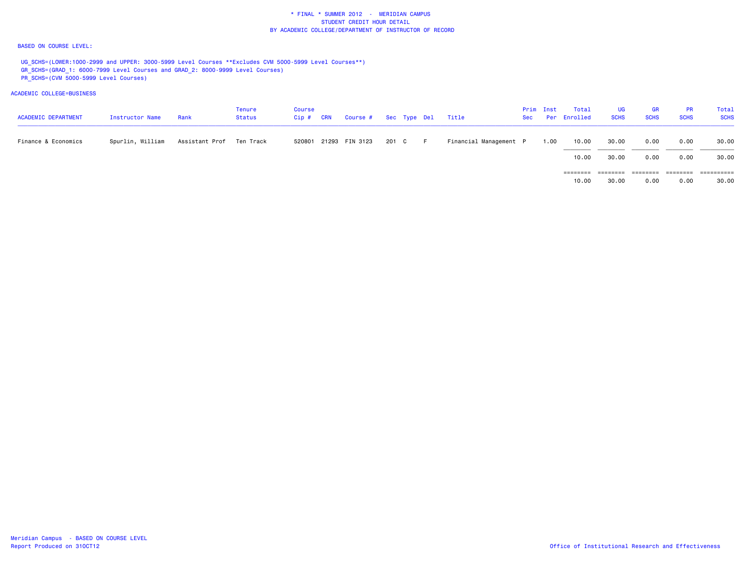#### BASED ON COURSE LEVEL:

UG\_SCHS=(LOWER:1000-2999 and UPPER: 3000-5999 Level Courses \*\*Excludes CVM 5000-5999 Level Courses\*\*) GR\_SCHS=(GRAD\_1: 6000-7999 Level Courses and GRAD\_2: 8000-9999 Level Courses) PR\_SCHS=(CVM 5000-5999 Level Courses)

| <b>ACADEMIC DEPARTMENT</b> | Instructor Name  | Rank                       | Tenure<br>Status | Course<br>$Cip$ # | <b>CRN</b> | Course # Sec Type Del Title |       |     |                        | Prim Inst | Total<br>Sec Per Enrolled | <b>UG</b><br><b>SCHS</b> | <b>GR</b><br><b>SCHS</b> | <b>PR</b><br><b>SCHS</b> | Total<br><b>SCHS</b> |
|----------------------------|------------------|----------------------------|------------------|-------------------|------------|-----------------------------|-------|-----|------------------------|-----------|---------------------------|--------------------------|--------------------------|--------------------------|----------------------|
| Finance & Economics        | Spurlin, William | Assistant Prof – Ten Track |                  |                   |            | 520801 21293 FIN 3123       | 201 C | - F | Financial Management P | 1.00      | 10.00                     | 30.00                    | 0.00                     | 0.00                     | 30.00                |
|                            |                  |                            |                  |                   |            |                             |       |     |                        |           | 10.00                     | 30.00                    | 0.00                     | 0.00                     | 30.00                |
|                            |                  |                            |                  |                   |            |                             |       |     |                        |           | ========                  | ========                 | ========                 | ========                 | ==========           |
|                            |                  |                            |                  |                   |            |                             |       |     |                        |           | 10,00                     | 30.00                    | 0.00                     | 0.00                     | 30.00                |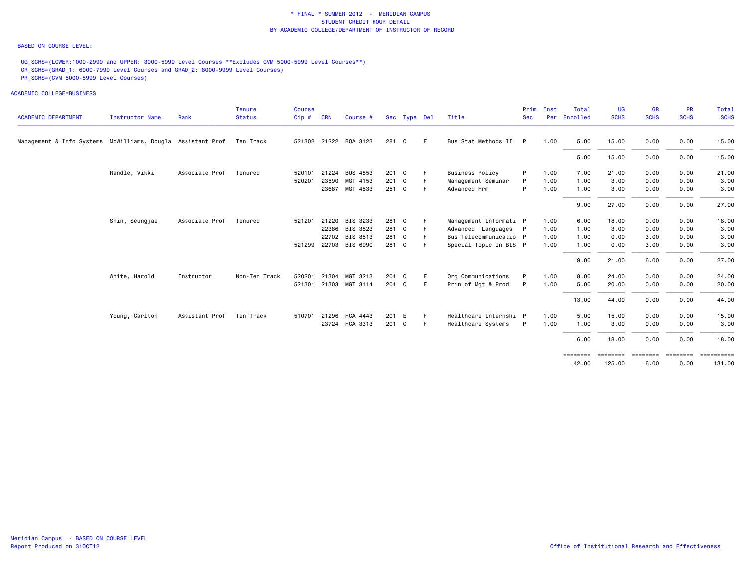#### BASED ON COURSE LEVEL:

UG\_SCHS=(LOWER:1000-2999 and UPPER: 3000-5999 Level Courses \*\*Excludes CVM 5000-5999 Level Courses\*\*) GR\_SCHS=(GRAD\_1: 6000-7999 Level Courses and GRAD\_2: 8000-9999 Level Courses) PR\_SCHS=(CVM 5000-5999 Level Courses)

|                                                                       |                        |                | <b>Tenure</b> | <b>Course</b> |            |                       |       |              |    |                        | Prim       | Inst | Total             | <b>UG</b>          | <b>GR</b>        | PR               | Total       |
|-----------------------------------------------------------------------|------------------------|----------------|---------------|---------------|------------|-----------------------|-------|--------------|----|------------------------|------------|------|-------------------|--------------------|------------------|------------------|-------------|
| <b>ACADEMIC DEPARTMENT</b>                                            | <b>Instructor Name</b> | Rank           | <b>Status</b> | Cip#          | <b>CRN</b> | Course #              |       | Sec Type Del |    | Title                  | <b>Sec</b> | Per  | Enrolled          | <b>SCHS</b>        | <b>SCHS</b>      | <b>SCHS</b>      | <b>SCHS</b> |
| Management & Info Systems McWilliams, Dougla Assistant Prof Ten Track |                        |                |               |               |            | 521302 21222 BQA 3123 | 281 C |              | F. | Bus Stat Methods II P  |            | 1.00 | 5.00              | 15.00              | 0.00             | 0.00             | 15.00       |
|                                                                       |                        |                |               |               |            |                       |       |              |    |                        |            |      | 5.00              | 15.00              | 0.00             | 0.00             | 15.00       |
|                                                                       | Randle, Vikki          | Associate Prof | Tenured       | 520101        | 21224      | <b>BUS 4853</b>       | 201 C |              |    | <b>Business Policy</b> | P          | 1.00 | 7.00              | 21.00              | 0.00             | 0.00             | 21.00       |
|                                                                       |                        |                |               | 520201        |            | 23590 MGT 4153        | 201 C |              |    | Management Seminar     | P          | 1.00 | 1.00              | 3.00               | 0.00             | 0.00             | 3.00        |
|                                                                       |                        |                |               |               |            | 23687 MGT 4533        | 251 C |              | F  | Advanced Hrm           | P          | 1.00 | 1.00              | 3.00               | 0.00             | 0.00             | 3.00        |
|                                                                       |                        |                |               |               |            |                       |       |              |    |                        |            |      | 9.00              | 27.00              | 0.00             | 0.00             | 27.00       |
|                                                                       | Shin, Seungjae         | Associate Prof | Tenured       | 521201        | 21220      | BIS 3233              | 281 C |              |    | Management Informati P |            | 1.00 | 6.00              | 18.00              | 0.00             | 0.00             | 18.00       |
|                                                                       |                        |                |               |               |            | 22386 BIS 3523        | 281 C |              |    | Advanced Languages P   |            | 1.00 | 1.00              | 3.00               | 0.00             | 0.00             | 3.00        |
|                                                                       |                        |                |               |               |            | 22702 BIS 8513        | 281 C |              |    | Bus Telecommunicatio P |            | 1.00 | 1.00              | 0.00               | 3.00             | 0.00             | 3.00        |
|                                                                       |                        |                |               |               |            | 521299 22703 BIS 6990 | 281 C |              | F  | Special Topic In BIS P |            | 1.00 | 1.00              | 0.00               | 3.00             | 0.00             | 3.00        |
|                                                                       |                        |                |               |               |            |                       |       |              |    |                        |            |      | 9.00              | 21.00              | 6.00             | 0.00             | 27.00       |
|                                                                       | White, Harold          | Instructor     | Non-Ten Track | 520201        | 21304      | MGT 3213              | 201 C |              | F. | Org Communications     | P          | 1.00 | 8.00              | 24.00              | 0.00             | 0.00             | 24.00       |
|                                                                       |                        |                |               | 521301        |            | 21303 MGT 3114        | 201 C |              | F. | Prin of Mgt & Prod     | P          | 1.00 | 5.00              | 20.00              | 0.00             | 0.00             | 20.00       |
|                                                                       |                        |                |               |               |            |                       |       |              |    |                        |            |      | 13.00             | 44.00              | 0.00             | 0.00             | 44.00       |
|                                                                       | Young, Carlton         | Assistant Prof | Ten Track     | 510701        |            | 21296 HCA 4443        | 201 E |              | F. | Healthcare Internshi P |            | 1.00 | 5.00              | 15.00              | 0.00             | 0.00             | 15.00       |
|                                                                       |                        |                |               |               |            | 23724 HCA 3313        | 201 C |              | E  | Healthcare Systems     | P          | 1.00 | 1.00              | 3.00               | 0.00             | 0.00             | 3.00        |
|                                                                       |                        |                |               |               |            |                       |       |              |    |                        |            |      | 6.00              | 18.00              | 0.00             | 0.00             | 18.00       |
|                                                                       |                        |                |               |               |            |                       |       |              |    |                        |            |      | ========<br>42.00 | --------<br>125.00 | ========<br>6.00 | ========<br>0.00 | 131.00      |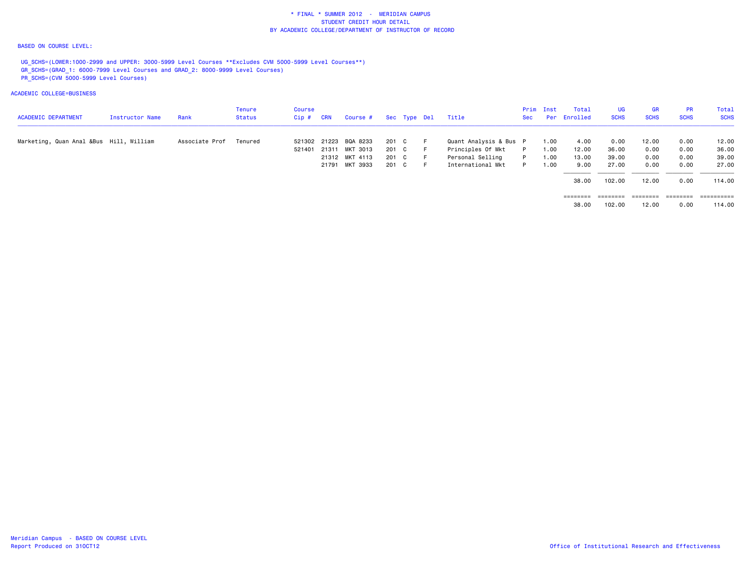#### BASED ON COURSE LEVEL:

UG\_SCHS=(LOWER:1000-2999 and UPPER: 3000-5999 Level Courses \*\*Excludes CVM 5000-5999 Level Courses\*\*) GR\_SCHS=(GRAD\_1: 6000-7999 Level Courses and GRAD\_2: 8000-9999 Level Courses) PR\_SCHS=(CVM 5000-5999 Level Courses)

| <b>ACADEMIC DEPARTMENT</b>              | <b>Instructor Name</b> | Rank           | Tenure<br>Status | Course<br>Cip # | <b>CRN</b> | Course #              |       | Sec Type Del |     | Title                  | <b>Sec</b> | Prim Inst | Total<br>Per Enrolled | <b>UG</b><br><b>SCHS</b> | <b>GR</b><br><b>SCHS</b> | <b>PR</b><br><b>SCHS</b> | Total<br><b>SCHS</b> |
|-----------------------------------------|------------------------|----------------|------------------|-----------------|------------|-----------------------|-------|--------------|-----|------------------------|------------|-----------|-----------------------|--------------------------|--------------------------|--------------------------|----------------------|
| Marketing, Quan Anal &Bus Hill, William |                        | Associate Prof | Tenured          |                 |            | 521302 21223 BQA 8233 | 201 C |              | - F | Quant Analysis & Bus P |            | 1.00      | 4.00                  | 0.00                     | 12.00                    | 0.00                     | 12.00                |
|                                         |                        |                |                  | 521401          | 21311      | MKT 3013              | 201 C |              | - F | Principles Of Mkt      | P          | 1.00      | 12.00                 | 36.00                    | 0.00                     | 0.00                     | 36.00                |
|                                         |                        |                |                  |                 |            | 21312 MKT 4113        | 201 C |              | - F | Personal Selling       | P.         | 1.00      | 13.00                 | 39.00                    | 0.00                     | 0.00                     | 39.00                |
|                                         |                        |                |                  |                 |            | 21791 MKT 3933        | 201 C |              | - F | International Mkt      |            | 1.00      | 9.00                  | 27.00                    | 0.00                     | 0.00                     | 27,00                |
|                                         |                        |                |                  |                 |            |                       |       |              |     |                        |            |           | 38,00                 | 102.00                   | 12.00                    | 0.00                     | 114.00               |
|                                         |                        |                |                  |                 |            |                       |       |              |     |                        |            |           | ========              | =======                  | ========                 | ======                   | ==========           |
|                                         |                        |                |                  |                 |            |                       |       |              |     |                        |            |           | 38.00                 | 102.00                   | 12.00                    | 0.00                     | 114.00               |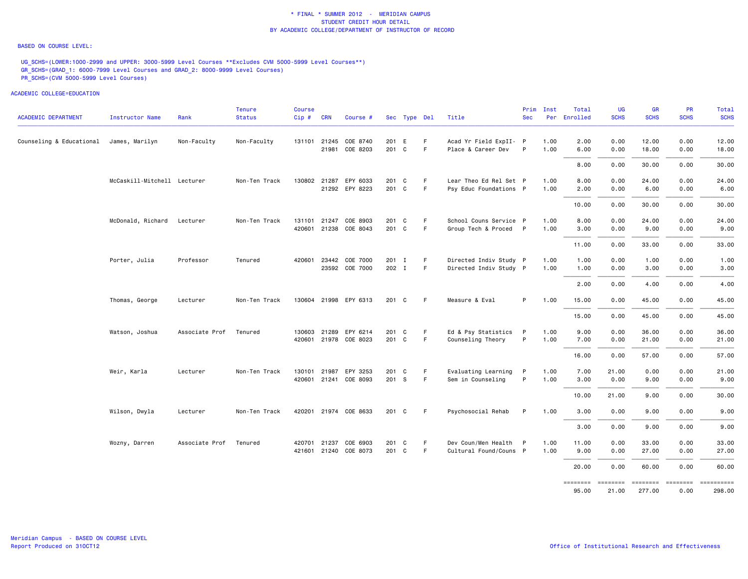#### BASED ON COURSE LEVEL:

UG\_SCHS=(LOWER:1000-2999 and UPPER: 3000-5999 Level Courses \*\*Excludes CVM 5000-5999 Level Courses\*\*) GR\_SCHS=(GRAD\_1: 6000-7999 Level Courses and GRAD\_2: 8000-9999 Level Courses) PR\_SCHS=(CVM 5000-5999 Level Courses)

| <b>ACADEMIC DEPARTMENT</b> | Instructor Name             | Rank           | <b>Tenure</b><br><b>Status</b> | <b>Course</b><br>Cip# | <b>CRN</b>   | Course #                   |                | Sec Type Del |             | Title                                        | Prim<br><b>Sec</b> | Inst         | Total<br>Per Enrolled | <b>UG</b><br><b>SCHS</b> | <b>GR</b><br><b>SCHS</b>               | <b>PR</b><br><b>SCHS</b> | Total<br><b>SCHS</b> |
|----------------------------|-----------------------------|----------------|--------------------------------|-----------------------|--------------|----------------------------|----------------|--------------|-------------|----------------------------------------------|--------------------|--------------|-----------------------|--------------------------|----------------------------------------|--------------------------|----------------------|
|                            |                             |                |                                |                       |              |                            |                |              |             |                                              |                    |              |                       |                          |                                        |                          |                      |
| Counseling & Educational   | James, Marilyn              | Non-Faculty    | Non-Faculty                    | 131101                | 21245        | COE 8740<br>21981 COE 8203 | 201 E<br>201 C |              | F<br>F      | Acad Yr Field ExpII- P<br>Place & Career Dev | $\mathsf{P}$       | 1.00<br>1.00 | 2.00<br>6.00          | 0.00<br>0.00             | 12.00<br>18.00                         | 0.00<br>0.00             | 12.00<br>18.00       |
|                            |                             |                |                                |                       |              |                            |                |              |             |                                              |                    |              | 8.00                  | 0.00                     | 30.00                                  | 0.00                     | 30.00                |
|                            | McCaskill-Mitchell Lecturer |                | Non-Ten Track                  |                       | 130802 21287 | EPY 6033                   | 201 C          |              | F           | Lear Theo Ed Rel Set P                       |                    | 1.00         | 8.00                  | 0.00                     | 24.00                                  | 0.00                     | 24.00                |
|                            |                             |                |                                |                       |              | 21292 EPY 8223             | 201 C          |              | F           | Psy Educ Foundations P                       |                    | 1.00         | 2.00                  | 0.00                     | 6.00                                   | 0.00                     | 6.00                 |
|                            |                             |                |                                |                       |              |                            |                |              |             |                                              |                    |              | 10.00                 | 0.00                     | 30.00                                  | 0.00                     | 30.00                |
|                            | McDonald, Richard           | Lecturer       | Non-Ten Track                  |                       |              | 131101 21247 COE 8903      | 201 C          |              | F.          | School Couns Service P                       |                    | 1.00         | 8.00                  | 0.00                     | 24.00                                  | 0.00                     | 24.00                |
|                            |                             |                |                                |                       |              | 420601 21238 COE 8043      | 201 C          |              | F           | Group Tech & Proced P                        |                    | 1.00         | 3.00                  | 0.00                     | 9.00                                   | 0.00                     | 9.00                 |
|                            |                             |                |                                |                       |              |                            |                |              |             |                                              |                    |              | 11.00                 | 0.00                     | 33.00                                  | 0.00                     | 33.00                |
|                            | Porter, Julia               | Professor      | Tenured                        | 420601                |              | 23442 COE 7000             | 201 I          |              | F           | Directed Indiv Study P                       |                    | 1.00         | 1.00                  | 0.00                     | 1.00                                   | 0.00                     | 1.00                 |
|                            |                             |                |                                |                       |              | 23592 COE 7000             | 202 I          |              | $\mathsf F$ | Directed Indiv Study P                       |                    | 1.00         | 1.00                  | 0.00                     | 3.00                                   | 0.00                     | 3.00                 |
|                            |                             |                |                                |                       |              |                            |                |              |             |                                              |                    |              | 2.00                  | 0.00                     | 4.00                                   | 0.00                     | 4.00                 |
|                            | Thomas, George              | Lecturer       | Non-Ten Track                  |                       |              | 130604 21998 EPY 6313      | 201 C          |              | F           | Measure & Eval                               | P                  | 1.00         | 15.00                 | 0.00                     | 45.00                                  | 0.00                     | 45.00                |
|                            |                             |                |                                |                       |              |                            |                |              |             |                                              |                    |              | 15.00                 | 0.00                     | 45.00                                  | 0.00                     | 45.00                |
|                            | Watson, Joshua              | Associate Prof | Tenured                        |                       |              | 130603 21289 EPY 6214      | 201 C          |              | F           | Ed & Psy Statistics P                        |                    | 1.00         | 9.00                  | 0.00                     | 36.00                                  | 0.00                     | 36.00                |
|                            |                             |                |                                |                       |              | 420601 21978 COE 8023      | 201 C          |              | F           | Counseling Theory                            | P                  | 1.00         | 7.00                  | 0.00                     | 21.00                                  | 0.00                     | 21.00                |
|                            |                             |                |                                |                       |              |                            |                |              |             |                                              |                    |              | 16.00                 | 0.00                     | 57.00                                  | 0.00                     | 57.00                |
|                            | Weir, Karla                 | Lecturer       | Non-Ten Track                  | 130101                | 21987        | EPY 3253                   | 201 C          |              | F           | Evaluating Learning                          | P                  | 1.00         | 7.00                  | 21.00                    | 0.00                                   | 0.00                     | 21.00                |
|                            |                             |                |                                |                       |              | 420601 21241 COE 8093      | 201 S          |              | F           | Sem in Counseling                            | P                  | 1.00         | 3.00                  | 0.00                     | 9.00                                   | 0.00                     | 9.00                 |
|                            |                             |                |                                |                       |              |                            |                |              |             |                                              |                    |              | 10.00                 | 21.00                    | 9.00                                   | 0.00                     | 30.00                |
|                            | Wilson, Dwyla               | Lecturer       | Non-Ten Track                  |                       |              | 420201 21974 COE 8633      | $201 \quad C$  |              | F.          | Psychosocial Rehab                           | P                  | 1.00         | 3.00                  | 0.00                     | 9.00                                   | 0.00                     | 9.00                 |
|                            |                             |                |                                |                       |              |                            |                |              |             |                                              |                    |              | 3.00                  | 0.00                     | 9.00                                   | 0.00                     | 9.00                 |
|                            | Wozny, Darren               | Associate Prof | Tenured                        | 420701                |              | 21237 COE 6903             | 201 C          |              | F           | Dev Coun/Men Health                          | - P                | 1.00         | 11.00                 | 0.00                     | 33.00                                  | 0.00                     | 33.00                |
|                            |                             |                |                                |                       |              | 421601 21240 COE 8073      | 201 C          |              | F           | Cultural Found/Couns P                       |                    | 1.00         | 9.00                  | 0.00                     | 27.00                                  | 0.00                     | 27.00                |
|                            |                             |                |                                |                       |              |                            |                |              |             |                                              |                    |              | 20.00                 | 0.00                     | 60.00                                  | 0.00                     | 60.00                |
|                            |                             |                |                                |                       |              |                            |                |              |             |                                              |                    |              | ========<br>95.00     | ========<br>21.00        | --------- -------- ---------<br>277.00 | 0.00                     | 298.00               |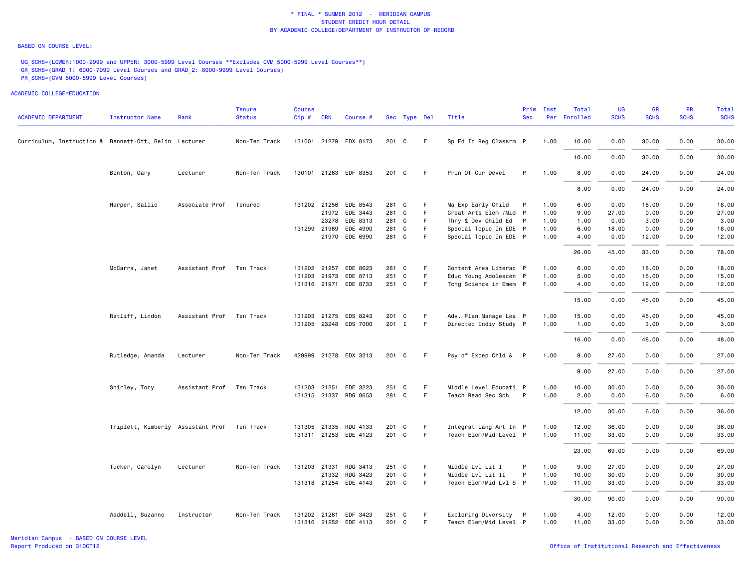#### BASED ON COURSE LEVEL:

UG\_SCHS=(LOWER:1000-2999 and UPPER: 3000-5999 Level Courses \*\*Excludes CVM 5000-5999 Level Courses\*\*) GR\_SCHS=(GRAD\_1: 6000-7999 Level Courses and GRAD\_2: 8000-9999 Level Courses) PR\_SCHS=(CVM 5000-5999 Level Courses)

| <b>ACADEMIC DEPARTMENT</b>                            | <b>Instructor Name</b>            | Rank           | <b>Tenure</b><br><b>Status</b> | Course<br>Cip# | <b>CRN</b>   | Course #              |       | Sec Type Del |    | Title                   | Prim<br><b>Sec</b> | Inst | Total<br>Per Enrolled | UG<br><b>SCHS</b> | <b>GR</b><br><b>SCHS</b> | PR<br><b>SCHS</b> | Total<br><b>SCHS</b> |
|-------------------------------------------------------|-----------------------------------|----------------|--------------------------------|----------------|--------------|-----------------------|-------|--------------|----|-------------------------|--------------------|------|-----------------------|-------------------|--------------------------|-------------------|----------------------|
| Curriculum, Instruction & Bennett-Ott, Belin Lecturer |                                   |                | Non-Ten Track                  |                |              | 131001 21279 EDX 8173 | 201 C |              | F  | Sp Ed In Reg Classrm P  |                    | 1.00 | 10.00                 | 0.00              | 30.00                    | 0.00              | 30.00                |
|                                                       |                                   |                |                                |                |              |                       |       |              |    |                         |                    |      | 10.00                 | 0.00              | 30.00                    | 0.00              | 30.00                |
|                                                       | Benton, Gary                      | Lecturer       | Non-Ten Track                  |                |              | 130101 21263 EDF 8353 | 201 C |              | F  | Prin Of Cur Devel       | P                  | 1.00 | 8.00                  | 0.00              | 24.00                    | 0.00              | 24.00                |
|                                                       |                                   |                |                                |                |              |                       |       |              |    |                         |                    |      | 8.00                  | 0.00              | 24.00                    | 0.00              | 24.00                |
|                                                       | Harper, Sallie                    | Associate Prof | Tenured                        |                |              | 131202 21256 EDE 8543 | 281 C |              | F  | Ma Exp Early Child      | P                  | 1.00 | 6.00                  | 0.00              | 18.00                    | 0.00              | 18.00                |
|                                                       |                                   |                |                                |                |              | 21972 EDE 3443        | 281 C |              | F. | Creat Arts Elem / Mid P |                    | 1.00 | 9.00                  | 27.00             | 0.00                     | 0.00              | 27.00                |
|                                                       |                                   |                |                                |                | 23278        | EDE 8313              | 281 C |              | F  | Thry & Dev Child Ed P   |                    | 1.00 | 1.00                  | 0.00              | 3.00                     | 0.00              | 3.00                 |
|                                                       |                                   |                |                                |                | 131299 21969 | EDE 4990              | 281 C |              | F. | Special Topic In EDE P  |                    | 1.00 | 6.00                  | 18.00             | 0.00                     | 0.00              | 18.00                |
|                                                       |                                   |                |                                |                | 21970        | EDE 6990              | 281 C |              | F  | Special Topic In EDE P  |                    | 1.00 | 4.00                  | 0.00              | 12.00                    | 0.00              | 12.00                |
|                                                       |                                   |                |                                |                |              |                       |       |              |    |                         |                    |      | 26.00                 | 45.00             | 33.00                    | 0.00              | 78.00                |
|                                                       | McCarra, Janet                    | Assistant Prof | Ten Track                      |                | 131202 21257 | EDE 8623              | 281 C |              | F  | Content Area Literac P  |                    | 1.00 | 6.00                  | 0.00              | 18.00                    | 0.00              | 18.00                |
|                                                       |                                   |                |                                |                | 131203 21973 | EDE 8713              | 251 C |              | F. | Educ Young Adolescen P  |                    | 1.00 | 5.00                  | 0.00              | 15.00                    | 0.00              | 15.00                |
|                                                       |                                   |                |                                |                |              | 131316 21971 EDE 8733 | 251 C |              | F. | Tchg Science in Emem P  |                    | 1.00 | 4.00                  | 0.00              | 12.00                    | 0.00              | 12.00                |
|                                                       |                                   |                |                                |                |              |                       |       |              |    |                         |                    |      | 15.00                 | 0.00              | 45.00                    | 0.00              | 45.00                |
|                                                       | Ratliff, Lindon                   | Assistant Prof | Ten Track                      | 131203         | 21275        | EDS 8243              | 201 C |              | F  | Adv. Plan Manage Lea P  |                    | 1.00 | 15.00                 | 0.00              | 45.00                    | 0.00              | 45.00                |
|                                                       |                                   |                |                                |                |              | 131205 23248 EDS 7000 | 201 I |              | F. | Directed Indiv Study P  |                    | 1.00 | 1.00                  | 0.00              | 3.00                     | 0.00              | 3.00                 |
|                                                       |                                   |                |                                |                |              |                       |       |              |    |                         |                    |      | 16.00                 | 0.00              | 48.00                    | 0.00              | 48.00                |
|                                                       | Rutledge, Amanda                  | Lecturer       | Non-Ten Track                  |                |              | 429999 21278 EDX 3213 | 201 C |              | -F | Psy of Excep Chld & P   |                    | 1.00 | 9.00                  | 27.00             | 0.00                     | 0.00              | 27.00                |
|                                                       |                                   |                |                                |                |              |                       |       |              |    |                         |                    |      | 9.00                  | 27.00             | 0.00                     | 0.00              | 27.00                |
|                                                       | Shirley, Tory                     | Assistant Prof | Ten Track                      |                | 131203 21251 | EDE 3223              | 251 C |              | F  | Middle Level Educati P  |                    | 1.00 | 10.00                 | 30.00             | 0.00                     | 0.00              | 30.00                |
|                                                       |                                   |                |                                |                |              | 131315 21337 RDG 8653 | 281 C |              | F. | Teach Read Sec Sch      | $\mathsf{P}$       | 1.00 | 2.00                  | 0.00              | 6.00                     | 0.00              | 6.00                 |
|                                                       |                                   |                |                                |                |              |                       |       |              |    |                         |                    |      | 12.00                 | 30.00             | 6.00                     | 0.00              | 36.00                |
|                                                       | Triplett, Kimberly Assistant Prof |                | Ten Track                      |                |              | 131305 21335 RDG 4133 | 201   | C            | F. | Integrat Lang Art In P  |                    | 1.00 | 12.00                 | 36.00             | 0.00                     | 0.00              | 36.00                |
|                                                       |                                   |                |                                |                |              | 131311 21253 EDE 4123 | 201 C |              | F. | Teach Elem/Mid Level P  |                    | 1.00 | 11.00                 | 33.00             | 0.00                     | 0.00              | 33.00                |
|                                                       |                                   |                |                                |                |              |                       |       |              |    |                         |                    |      | 23.00                 | 69.00             | 0.00                     | 0.00              | 69.00                |
|                                                       | Tucker, Carolyn                   | Lecturer       | Non-Ten Track                  |                | 131203 21331 | RDG 3413              | 251 C |              | F  | Middle Lvl Lit I        | P                  | 1.00 | 9.00                  | 27.00             | 0.00                     | 0.00              | 27.00                |
|                                                       |                                   |                |                                |                |              | 21332 RDG 3423        | 201 C |              | F. | Middle Lvl Lit II       | P                  | 1.00 | 10.00                 | 30.00             | 0.00                     | 0.00              | 30.00                |
|                                                       |                                   |                |                                |                |              | 131318 21254 EDE 4143 | 201 C |              | F. | Teach Elem/Mid Lvl S P  |                    | 1.00 | 11.00                 | 33.00             | 0.00                     | 0.00              | 33.00                |
|                                                       |                                   |                |                                |                |              |                       |       |              |    |                         |                    |      | 30.00                 | 90.00             | 0.00                     | 0.00              | 90.00                |
|                                                       | Waddell, Suzanne                  | Instructor     | Non-Ten Track                  | 131202 21261   |              | EDF 3423              | 251 C |              | F. | Exploring Diversity P   |                    | 1.00 | 4.00                  | 12.00             | 0.00                     | 0.00              | 12.00                |
|                                                       |                                   |                |                                |                |              | 131316 21252 EDE 4113 | 201 C |              | F. | Teach Elem/Mid Level P  |                    | 1.00 | 11.00                 | 33.00             | 0.00                     | 0.00              | 33.00                |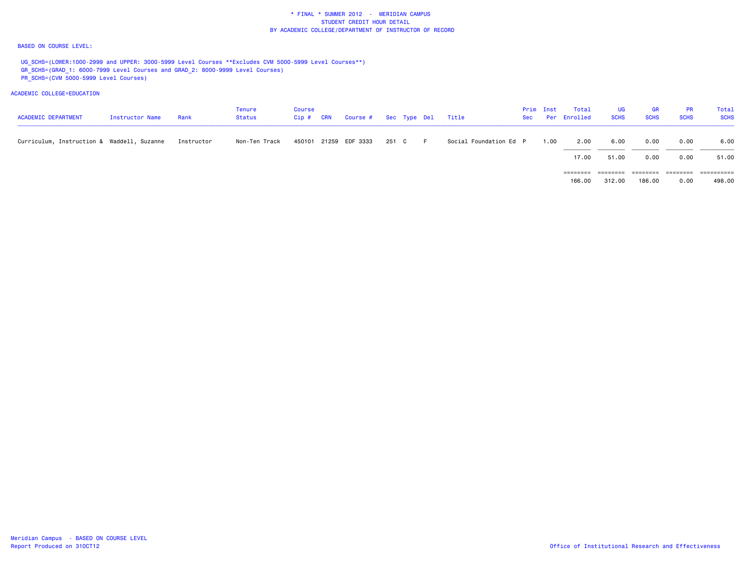#### BASED ON COURSE LEVEL:

UG\_SCHS=(LOWER:1000-2999 and UPPER: 3000-5999 Level Courses \*\*Excludes CVM 5000-5999 Level Courses\*\*) GR\_SCHS=(GRAD\_1: 6000-7999 Level Courses and GRAD\_2: 8000-9999 Level Courses) PR\_SCHS=(CVM 5000-5999 Level Courses)

| <b>ACADEMIC DEPARTMENT</b>                 | Instructor Name | Rank       | Tenure<br><b>Status</b> | <b>Course</b><br>$Cip$ # | <b>CRN</b> | Course # Sec Type Del Title |       |     |                        | Prim Inst | Total<br>Sec Per Enrolled | UG<br><b>SCHS</b> | <b>GR</b><br><b>SCHS</b> | PR<br><b>SCHS</b> | Total<br><b>SCHS</b> |
|--------------------------------------------|-----------------|------------|-------------------------|--------------------------|------------|-----------------------------|-------|-----|------------------------|-----------|---------------------------|-------------------|--------------------------|-------------------|----------------------|
| Curriculum, Instruction & Waddell, Suzanne |                 | Instructor | Non-Ten Track           |                          |            | 450101 21259 EDF 3333       | 251 C | -F. | Social Foundation Ed P | 1.00      | 2.00                      | 6.00              | 0.00                     | 0.00              | 6.00                 |
|                                            |                 |            |                         |                          |            |                             |       |     |                        |           | 17.00                     | 51.00             | 0.00                     | 0.00              | 51.00                |
|                                            |                 |            |                         |                          |            |                             |       |     |                        |           |                           |                   |                          |                   | ==========           |
|                                            |                 |            |                         |                          |            |                             |       |     |                        |           | 166.00                    | 312,00            | 186,00                   | 0.00              | 498,00               |